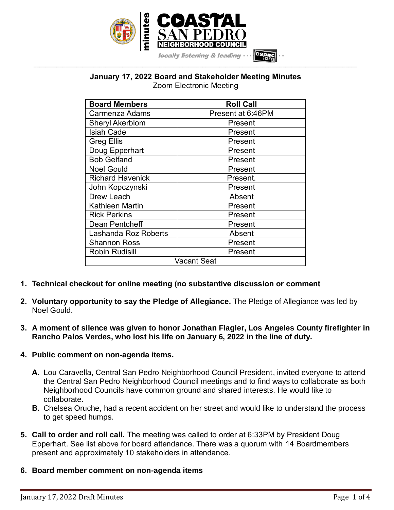

locally listening & leading

#### **January 17, 2022 Board and Stakeholder Meeting Minutes** Zoom Electronic Meeting

**\_\_\_\_\_\_\_\_\_\_\_\_\_\_\_\_\_\_\_\_\_\_\_\_\_\_\_\_\_\_\_\_\_\_\_\_\_\_\_\_\_\_\_\_\_\_\_\_\_\_\_\_\_\_\_\_\_\_\_\_\_\_\_\_\_\_\_\_\_\_\_\_\_\_\_\_\_\_\_\_\_\_\_\_\_\_\_\_\_\_\_\_\_\_\_\_\_\_\_\_\_\_\_\_\_\_\_\_\_\_\_\_\_**

| <b>Board Members</b>        | <b>Roll Call</b>  |
|-----------------------------|-------------------|
| Carmenza Adams              | Present at 6:46PM |
| <b>Sheryl Akerblom</b>      | Present           |
| <b>Isiah Cade</b>           | Present           |
| <b>Greg Ellis</b>           | Present           |
| Doug Epperhart              | Present           |
| <b>Bob Gelfand</b>          | Present           |
| <b>Noel Gould</b>           | Present           |
| <b>Richard Havenick</b>     | Present.          |
| John Kopczynski             | Present           |
| Drew Leach                  | Absent            |
| <b>Kathleen Martin</b>      | Present           |
| <b>Rick Perkins</b>         | Present           |
| Dean Pentcheff              | Present           |
| <b>Lashanda Roz Roberts</b> | Absent            |
| <b>Shannon Ross</b>         | Present           |
| <b>Robin Rudisill</b>       | Present           |
| Vacant Seat                 |                   |

- **1. Technical checkout for online meeting (no substantive discussion or comment**
- **2. Voluntary opportunity to say the Pledge of Allegiance.** The Pledge of Allegiance was led by Noel Gould.
- **3. A moment of silence was given to honor Jonathan Flagler, Los Angeles County firefighter in Rancho Palos Verdes, who lost his life on January 6, 2022 in the line of duty.**

### **4. Public comment on non-agenda items.**

- **A.** Lou Caravella, Central San Pedro Neighborhood Council President, invited everyone to attend the Central San Pedro Neighborhood Council meetings and to find ways to collaborate as both Neighborhood Councils have common ground and shared interests. He would like to collaborate.
- **B.** Chelsea Oruche, had a recent accident on her street and would like to understand the process to get speed humps.
- **5. Call to order and roll call.** The meeting was called to order at 6:33PM by President Doug Epperhart. See list above for board attendance. There was a quorum with 14 Boardmembers present and approximately 10 stakeholders in attendance.
- **6. Board member comment on non-agenda items**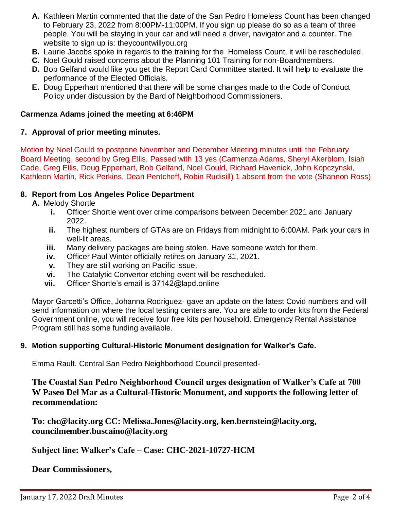- **A.** Kathleen Martin commented that the date of the San Pedro Homeless Count has been changed to February 23, 2022 from 8:00PM-11:00PM. If you sign up please do so as a team of three people. You will be staying in your car and will need a driver, navigator and a counter. The website to sign up is: theycountwillyou.org
- **B.** Laurie Jacobs spoke in regards to the training for the Homeless Count, it will be rescheduled.
- **C.** Noel Gould raised concerns about the Planning 101 Training for non-Boardmembers.
- **D.** Bob Gelfand would like you get the Report Card Committee started. It will help to evaluate the performance of the Elected Officials.
- **E.** Doug Epperhart mentioned that there will be some changes made to the Code of Conduct Policy under discussion by the Bard of Neighborhood Commissioners.

#### **Carmenza Adams joined the meeting at 6:46PM**

#### **7. Approval of prior meeting minutes.**

Motion by Noel Gould to postpone November and December Meeting minutes until the February Board Meeting, second by Greg Ellis. Passed with 13 yes (Carmenza Adams, Sheryl Akerblom, Isiah Cade, Greg Ellis, Doug Epperhart, Bob Gelfand, Noel Gould, Richard Havenick, John Kopczynski, Kathleen Martin, Rick Perkins, Dean Pentcheff, Robin Rudisill) 1 absent from the vote (Shannon Ross)

### **8. Report from Los Angeles Police Department**

- **A.** Melody Shortle
	- **i.** Officer Shortle went over crime comparisons between December 2021 and January 2022.
	- **ii.** The highest numbers of GTAs are on Fridays from midnight to 6:00AM. Park your cars in well-lit areas.
	- **iii.** Many delivery packages are being stolen. Have someone watch for them.
	- **iv.** Officer Paul Winter officially retires on January 31, 2021.
	- **v.** They are still working on Pacific issue.
	- **vi.** The Catalytic Convertor etching event will be rescheduled.
	- **vii.** Officer Shortle's email is 37142@lapd.online

Mayor Garcetti's Office, Johanna Rodriguez- gave an update on the latest Covid numbers and will send information on where the local testing centers are. You are able to order kits from the Federal Government online, you will receive four free kits per household. Emergency Rental Assistance Program still has some funding available.

### **9. Motion supporting Cultural-Historic Monument designation for Walker's Cafe.**

Emma Rault, Central San Pedro Neighborhood Council presented-

**The Coastal San Pedro Neighborhood Council urges designation of Walker's Cafe at 700 W Paseo Del Mar as a Cultural-Historic Monument, and supports the following letter of recommendation:**

**To: chc@lacity.org CC: Melissa.Jones@lacity.org, ken.bernstein@lacity.org, councilmember.buscaino@lacity.org**

### **Subject line: Walker's Cafe – Case: CHC-2021-10727-HCM**

**Dear Commissioners,**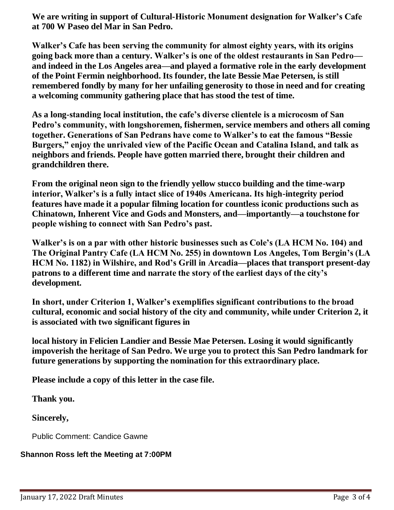**We are writing in support of Cultural-Historic Monument designation for Walker's Cafe at 700 W Paseo del Mar in San Pedro.**

**Walker's Cafe has been serving the community for almost eighty years, with its origins going back more than a century. Walker's is one of the oldest restaurants in San Pedro and indeed in the Los Angeles area—and played a formative role in the early development of the Point Fermin neighborhood. Its founder, the late Bessie Mae Petersen, is still remembered fondly by many for her unfailing generosity to those in need and for creating a welcoming community gathering place that has stood the test of time.**

**As a long-standing local institution, the cafe's diverse clientele is a microcosm of San Pedro's community, with longshoremen, fishermen, service members and others all coming together. Generations of San Pedrans have come to Walker's to eat the famous "Bessie Burgers," enjoy the unrivaled view of the Pacific Ocean and Catalina Island, and talk as neighbors and friends. People have gotten married there, brought their children and grandchildren there.**

**From the original neon sign to the friendly yellow stucco building and the time-warp interior, Walker's is a fully intact slice of 1940s Americana. Its high-integrity period features have made it a popular filming location for countless iconic productions such as Chinatown, Inherent Vice and Gods and Monsters, and—importantly—a touchstone for people wishing to connect with San Pedro's past.**

**Walker's is on a par with other historic businesses such as Cole's (LA HCM No. 104) and The Original Pantry Cafe (LA HCM No. 255) in downtown Los Angeles, Tom Bergin's (LA HCM No. 1182) in Wilshire, and Rod's Grill in Arcadia—places that transport present-day patrons to a different time and narrate the story of the earliest days of the city's development.**

**In short, under Criterion 1, Walker's exemplifies significant contributions to the broad cultural, economic and social history of the city and community, while under Criterion 2, it is associated with two significant figures in**

**local history in Felicien Landier and Bessie Mae Petersen. Losing it would significantly impoverish the heritage of San Pedro. We urge you to protect this San Pedro landmark for future generations by supporting the nomination for this extraordinary place.**

**Please include a copy of this letter in the case file.**

**Thank you.**

**Sincerely,**

Public Comment: Candice Gawne

# **Shannon Ross left the Meeting at 7:00PM**